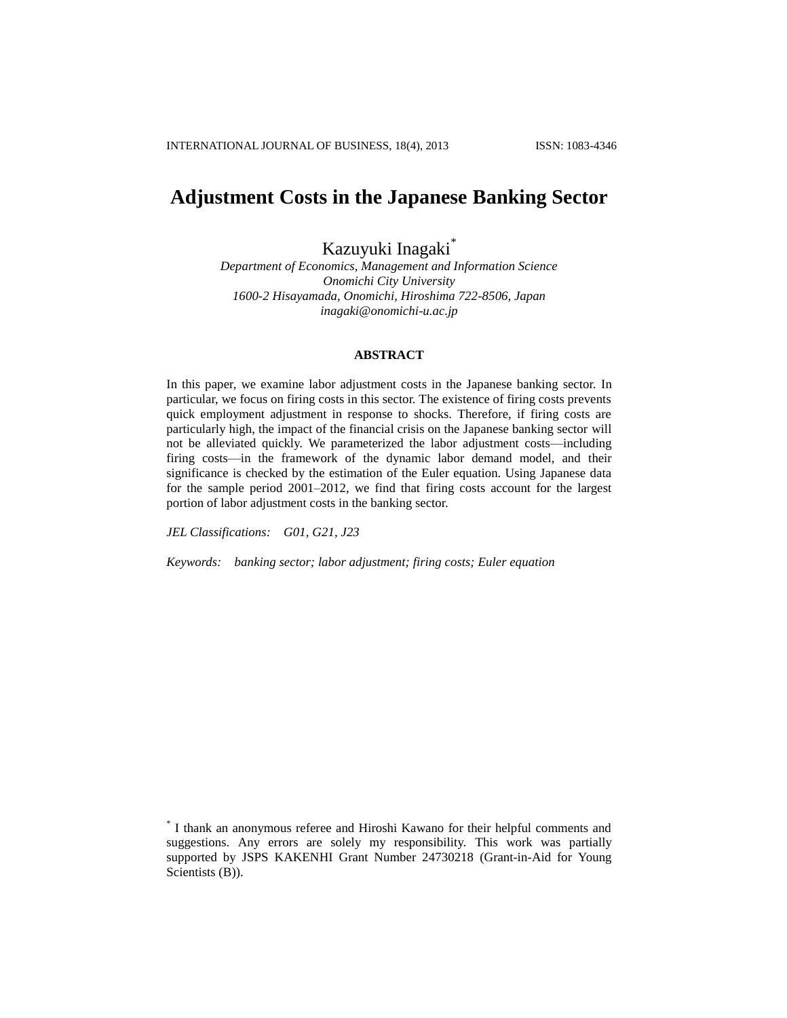# **Adjustment Costs in the Japanese Banking Sector**

Kazuyuki Inagaki\*

*Department of Economics, Management and Information Science Onomichi City University 1600-2 Hisayamada, Onomichi, Hiroshima 722-8506, Japan inagaki@onomichi-u.ac.jp*

## **ABSTRACT**

In this paper, we examine labor adjustment costs in the Japanese banking sector. In particular, we focus on firing costs in this sector. The existence of firing costs prevents quick employment adjustment in response to shocks. Therefore, if firing costs are particularly high, the impact of the financial crisis on the Japanese banking sector will not be alleviated quickly. We parameterized the labor adjustment costs—including firing costs—in the framework of the dynamic labor demand model, and their significance is checked by the estimation of the Euler equation. Using Japanese data for the sample period 2001–2012, we find that firing costs account for the largest portion of labor adjustment costs in the banking sector.

*JEL Classifications: G01, G21, J23*

*Keywords: banking sector; labor adjustment; firing costs; Euler equation*

<sup>\*</sup> I thank an anonymous referee and Hiroshi Kawano for their helpful comments and suggestions. Any errors are solely my responsibility. This work was partially supported by JSPS KAKENHI Grant Number 24730218 (Grant-in-Aid for Young Scientists (B)).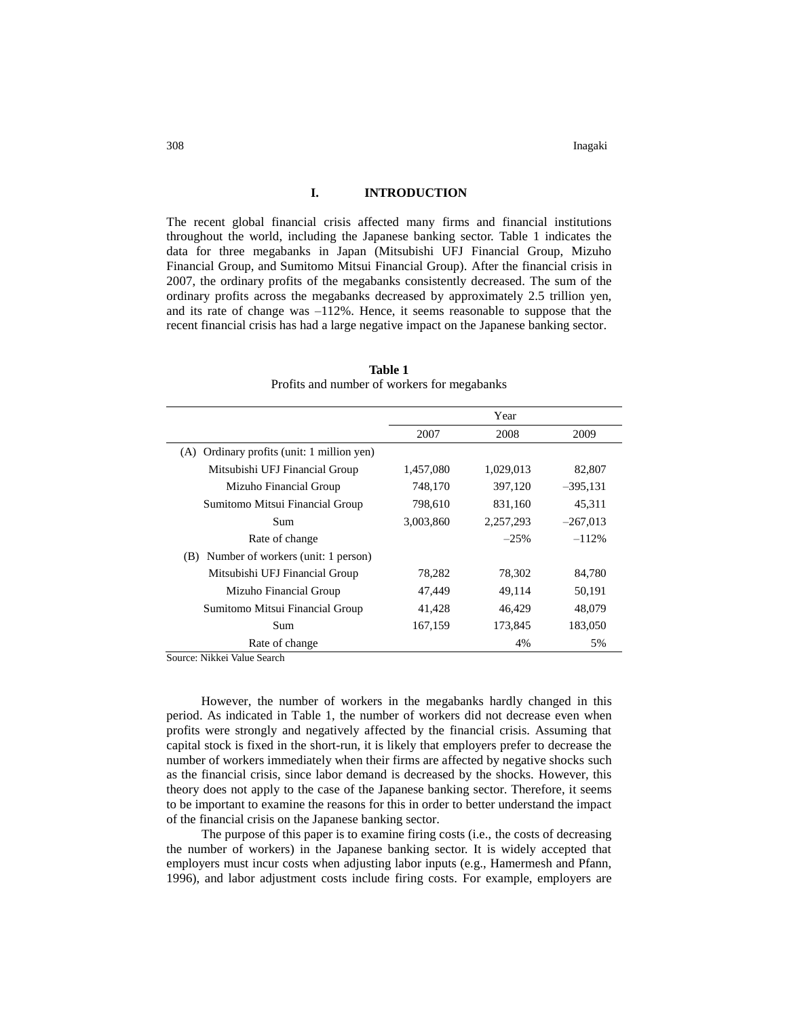#### **I. INTRODUCTION**

The recent global financial crisis affected many firms and financial institutions throughout the world, including the Japanese banking sector. Table 1 indicates the data for three megabanks in Japan (Mitsubishi UFJ Financial Group, Mizuho Financial Group, and Sumitomo Mitsui Financial Group). After the financial crisis in 2007, the ordinary profits of the megabanks consistently decreased. The sum of the ordinary profits across the megabanks decreased by approximately 2.5 trillion yen, and its rate of change was –112%. Hence, it seems reasonable to suppose that the recent financial crisis has had a large negative impact on the Japanese banking sector.

|                                               |           | Year      |            |
|-----------------------------------------------|-----------|-----------|------------|
|                                               | 2007      | 2008      | 2009       |
| Ordinary profits (unit: 1 million yen)<br>(A) |           |           |            |
| Mitsubishi UFJ Financial Group                | 1,457,080 | 1,029,013 | 82,807     |
| Mizuho Financial Group                        | 748,170   | 397,120   | $-395,131$ |
| Sumitomo Mitsui Financial Group               | 798,610   | 831,160   | 45,311     |
| Sum                                           | 3,003,860 | 2,257,293 | $-267,013$ |
| Rate of change                                |           | $-25%$    | $-112%$    |
| Number of workers (unit: 1 person)<br>(B)     |           |           |            |
| Mitsubishi UFJ Financial Group                | 78,282    | 78,302    | 84,780     |
| Mizuho Financial Group                        | 47,449    | 49,114    | 50,191     |
| Sumitomo Mitsui Financial Group               | 41,428    | 46,429    | 48,079     |
| Sum                                           | 167,159   | 173,845   | 183,050    |
| Rate of change                                |           | 4%        | 5%         |

**Table 1** Profits and number of workers for megabanks

Source: Nikkei Value Search

However, the number of workers in the megabanks hardly changed in this period. As indicated in Table 1, the number of workers did not decrease even when profits were strongly and negatively affected by the financial crisis. Assuming that capital stock is fixed in the short-run, it is likely that employers prefer to decrease the number of workers immediately when their firms are affected by negative shocks such as the financial crisis, since labor demand is decreased by the shocks. However, this theory does not apply to the case of the Japanese banking sector. Therefore, it seems to be important to examine the reasons for this in order to better understand the impact of the financial crisis on the Japanese banking sector.

The purpose of this paper is to examine firing costs (i.e., the costs of decreasing the number of workers) in the Japanese banking sector. It is widely accepted that employers must incur costs when adjusting labor inputs (e.g., Hamermesh and Pfann, 1996), and labor adjustment costs include firing costs. For example, employers are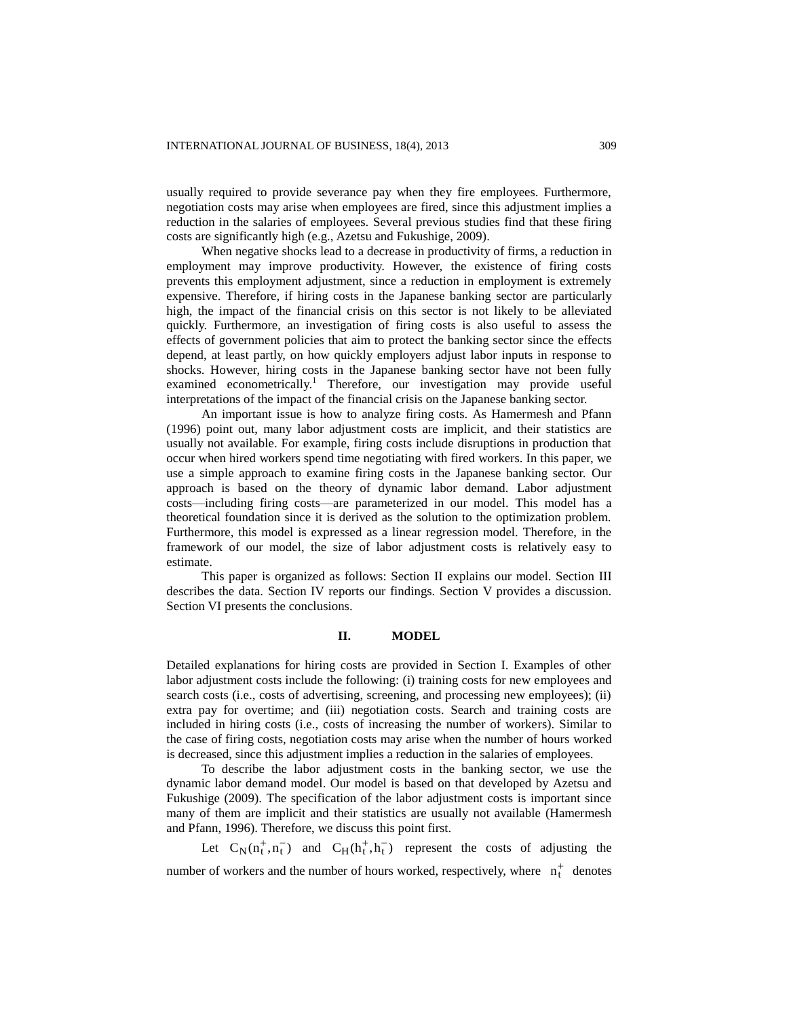usually required to provide severance pay when they fire employees. Furthermore, negotiation costs may arise when employees are fired, since this adjustment implies a reduction in the salaries of employees. Several previous studies find that these firing costs are significantly high (e.g., Azetsu and Fukushige, 2009).

When negative shocks lead to a decrease in productivity of firms, a reduction in employment may improve productivity. However, the existence of firing costs prevents this employment adjustment, since a reduction in employment is extremely expensive. Therefore, if hiring costs in the Japanese banking sector are particularly high, the impact of the financial crisis on this sector is not likely to be alleviated quickly. Furthermore, an investigation of firing costs is also useful to assess the effects of government policies that aim to protect the banking sector since the effects depend, at least partly, on how quickly employers adjust labor inputs in response to shocks. However, hiring costs in the Japanese banking sector have not been fully examined econometrically.<sup>1</sup> Therefore, our investigation may provide useful interpretations of the impact of the financial crisis on the Japanese banking sector.

An important issue is how to analyze firing costs. As Hamermesh and Pfann (1996) point out, many labor adjustment costs are implicit, and their statistics are usually not available. For example, firing costs include disruptions in production that occur when hired workers spend time negotiating with fired workers. In this paper, we use a simple approach to examine firing costs in the Japanese banking sector. Our approach is based on the theory of dynamic labor demand. Labor adjustment costs—including firing costs—are parameterized in our model. This model has a theoretical foundation since it is derived as the solution to the optimization problem. Furthermore, this model is expressed as a linear regression model. Therefore, in the framework of our model, the size of labor adjustment costs is relatively easy to estimate.

This paper is organized as follows: Section II explains our model. Section III describes the data. Section IV reports our findings. Section V provides a discussion. Section VI presents the conclusions.

### **II. MODEL**

Detailed explanations for hiring costs are provided in Section I. Examples of other labor adjustment costs include the following: (i) training costs for new employees and search costs (i.e., costs of advertising, screening, and processing new employees); (ii) extra pay for overtime; and (iii) negotiation costs. Search and training costs are included in hiring costs (i.e., costs of increasing the number of workers). Similar to the case of firing costs, negotiation costs may arise when the number of hours worked is decreased, since this adjustment implies a reduction in the salaries of employees.

To describe the labor adjustment costs in the banking sector, we use the dynamic labor demand model. Our model is based on that developed by Azetsu and Fukushige (2009). The specification of the labor adjustment costs is important since many of them are implicit and their statistics are usually not available (Hamermesh and Pfann, 1996). Therefore, we discuss this point first.

Let  $C_N(n_t^+, n_t^-)$  and  $C_H(n_t^+, n_t^-)$  represent the costs of adjusting the number of workers and the number of hours worked, respectively, where  $n_t^+$  denotes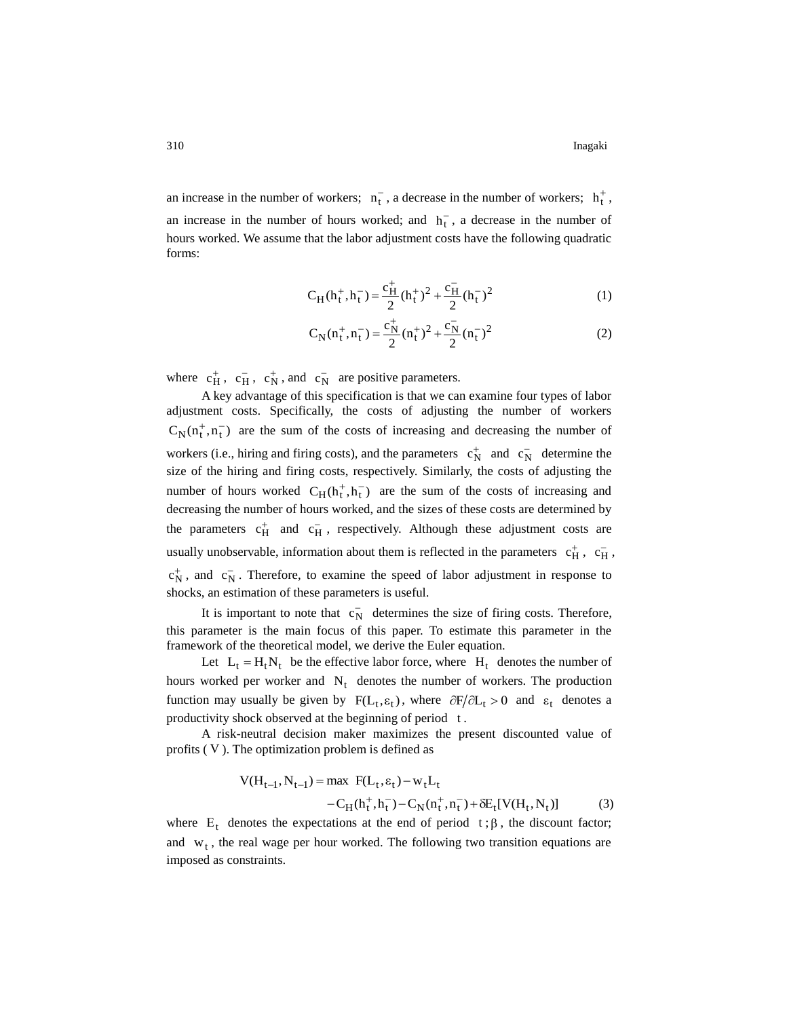an increase in the number of workers;  $n_{t}$ , a decrease in the number of workers;  $h_{t}^{+}$ , an increase in the number of hours worked; and  $h_t^-$ , a decrease in the number of hours worked. We assume that the labor adjustment costs have the following quadratic forms:

$$
C_H(h_t^+, h_t^-) = \frac{c_H^+}{2} (h_t^+)^2 + \frac{c_H^-}{2} (h_t^-)^2
$$
 (1)

$$
C_N(n_t^+, n_t^-) = \frac{c_N^+}{2} (n_t^+)^2 + \frac{c_N^-}{2} (n_t^-)^2
$$
 (2)

where  $c_H^+$ ,  $c_H^-$ ,  $c_N^+$ , and  $c_N^-$  are positive parameters.

A key advantage of this specification is that we can examine four types of labor adjustment costs. Specifically, the costs of adjusting the number of workers  $C_N(n_t^+, n_t^-)$  are the sum of the costs of increasing and decreasing the number of workers (i.e., hiring and firing costs), and the parameters  $c_N^+$  and  $c_N^-$  determine the size of the hiring and firing costs, respectively. Similarly, the costs of adjusting the number of hours worked  $C_H(h_t^+, h_t^-)$  are the sum of the costs of increasing and decreasing the number of hours worked, and the sizes of these costs are determined by the parameters  $c_H^+$  and  $c_H^-$ , respectively. Although these adjustment costs are usually unobservable, information about them is reflected in the parameters  $c_H^+$ ,  $c_H^-$ ,  $c_N^+$ , and  $c_N^-$ . Therefore, to examine the speed of labor adjustment in response to shocks, an estimation of these parameters is useful.

It is important to note that  $c_N^-$  determines the size of firing costs. Therefore, this parameter is the main focus of this paper. To estimate this parameter in the framework of the theoretical model, we derive the Euler equation.

Let  $L_t = H_t N_t$  be the effective labor force, where  $H_t$  denotes the number of hours worked per worker and  $N_t$  denotes the number of workers. The production function may usually be given by  $F(L_t, \varepsilon_t)$ , where  $\partial F/\partial L_t > 0$  and  $\varepsilon_t$  denotes a productivity shock observed at the beginning of period t.

A risk-neutral decision maker maximizes the present discounted value of profits ( V ). The optimization problem is defined as

$$
V(H_{t-1}, N_{t-1}) = \max F(L_t, \varepsilon_t) - w_t L_t
$$
  
- C<sub>H</sub>(h<sub>t</sub><sup>+</sup>, h<sub>t</sub><sup>-</sup>) - C<sub>N</sub>(n<sub>t</sub><sup>+</sup>, n<sub>t</sub><sup>-</sup>) +  $\delta E_t$ [V(H<sub>t</sub>, N<sub>t</sub>)] (3)

where  $E_t$  denotes the expectations at the end of period  $t: \beta$ , the discount factor; and  $w_t$ , the real wage per hour worked. The following two transition equations are imposed as constraints.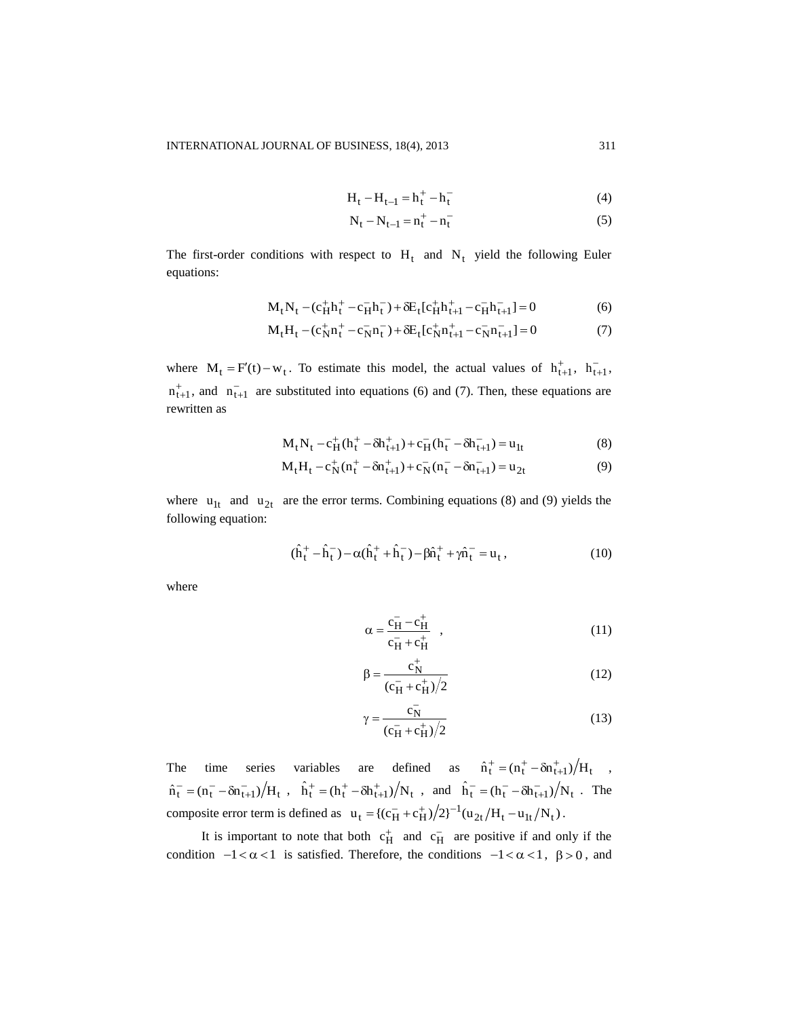$$
H_t - H_{t-1} = h_t^+ - h_t^- \tag{4}
$$

$$
N_t - N_{t-1} = n_t^+ - n_t^- \tag{5}
$$

The first-order conditions with respect to  $H_t$  and  $N_t$  yield the following Euler equations:

$$
M_t N_t - (c_H^+ h_t^+ - c_H^- h_t^-) + \delta E_t [c_H^+ h_{t+1}^+ - c_H^- h_{t+1}^-] = 0 \tag{6}
$$

$$
M_t H_t - (c_N^+ n_t^+ - c_N^- n_t^-) + \delta E_t [c_N^+ n_{t+1}^+ - c_N^- n_{t+1}^-] = 0 \tag{7}
$$

where  $M_t = F'(t) - w_t$ . To estimate this model, the actual values of  $h_{t+1}^+$ ,  $h_{t+1}^-$ ,  $n_{t+1}^+$ , and  $n_{t+1}^-$  are substituted into equations (6) and (7). Then, these equations are rewritten as

$$
M_t N_t - c_H^+ (h_t^+ - \delta h_{t+1}^+) + c_H^- (h_t^- - \delta h_{t+1}^-) = u_{1t}
$$
 (8)

$$
M_t H_t - c_N^+(n_t^+ - \delta n_{t+1}^+) + c_N^-(n_t^- - \delta n_{t+1}^-) = u_{2t}
$$
\n<sup>(9)</sup>

where  $u_{1t}$  and  $u_{2t}$  are the error terms. Combining equations (8) and (9) yields the following equation:

$$
(\hat{h}_t^+ - \hat{h}_t^-) - \alpha(\hat{h}_t^+ + \hat{h}_t^-) - \beta \hat{n}_t^+ + \gamma \hat{n}_t^- = u_t, \qquad (10)
$$

where

$$
\alpha = \frac{\overline{c}_{\mathrm{H}} - \overline{c}_{\mathrm{H}}}{\overline{c}_{\mathrm{H}} + \overline{c}_{\mathrm{H}}}, \qquad (11)
$$

$$
\beta = \frac{c_N^+}{(c_H^- + c_H^+)/2}
$$
 (12)

$$
\gamma = \frac{c_{\rm N}^-}{(c_{\rm H}^- + c_{\rm H}^+)/2} \tag{13}
$$

The time series variables are defined as  $\hat{n}_t^+ = (n_t^+ - \delta n_{t+1}^+)/H_t$ ,  $\hat{n}_{t}^{-} = (n_{t}^{-} - \delta n_{t+1}^{-})/H_{t}$ ,  $\hat{h}_{t}^{+} = (h_{t}^{+} - \delta h_{t+1}^{+})/N_{t}$ , and  $\hat{h}_{t}^{-} = (h_{t}^{-} - \delta h_{t+1}^{-})/N_{t}$ . The composite error term is defined as  $u_t = {(c_H^- + c_H^+)/2}^{-1} (u_{2t}/H_t - u_{1t}/N_t)$ .

It is important to note that both  $c_H^+$  and  $c_H^-$  are positive if and only if the condition  $-1 < \alpha < 1$  is satisfied. Therefore, the conditions  $-1 < \alpha < 1$ ,  $\beta > 0$ , and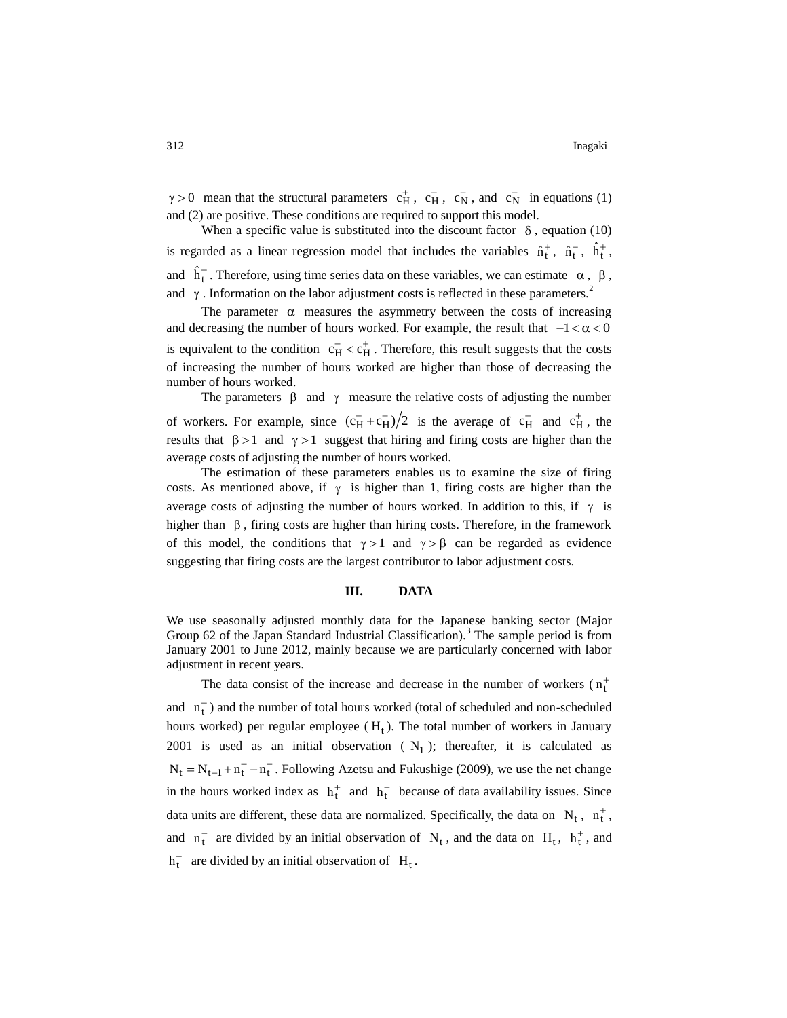$\gamma > 0$  mean that the structural parameters  $c_H^+$ ,  $c_H^-$ ,  $c_N^+$ , and  $c_N^-$  in equations (1) and (2) are positive. These conditions are required to support this model.

When a specific value is substituted into the discount factor  $\delta$ , equation (10) is regarded as a linear regression model that includes the variables  $\hat{n}_t^+$ ,  $\hat{n}_t^-$ ,  $\hat{n}_t^+$ , and  $\hat{h}_t^-$ . Therefore, using time series data on these variables, we can estimate  $\alpha$ ,  $\beta$ , and  $\gamma$ . Information on the labor adjustment costs is reflected in these parameters.<sup>2</sup>

The parameter  $\alpha$  measures the asymmetry between the costs of increasing and decreasing the number of hours worked. For example, the result that  $-1 < \alpha < 0$ is equivalent to the condition  $c_H^- < c_H^+$ . Therefore, this result suggests that the costs of increasing the number of hours worked are higher than those of decreasing the number of hours worked.

The parameters  $\beta$  and  $\gamma$  measure the relative costs of adjusting the number of workers. For example, since  $(c_H^+ + c_H^+)/2$  is the average of  $c_H^-$  and  $c_H^+$ , the results that  $\beta > 1$  and  $\gamma > 1$  suggest that hiring and firing costs are higher than the average costs of adjusting the number of hours worked.

The estimation of these parameters enables us to examine the size of firing costs. As mentioned above, if  $\gamma$  is higher than 1, firing costs are higher than the average costs of adjusting the number of hours worked. In addition to this, if  $\gamma$  is higher than  $\beta$ , firing costs are higher than hiring costs. Therefore, in the framework of this model, the conditions that  $\gamma > 1$  and  $\gamma > \beta$  can be regarded as evidence suggesting that firing costs are the largest contributor to labor adjustment costs.

## **III. DATA**

We use seasonally adjusted monthly data for the Japanese banking sector (Major Group 62 of the Japan Standard Industrial Classification).<sup>3</sup> The sample period is from January 2001 to June 2012, mainly because we are particularly concerned with labor adjustment in recent years.

The data consist of the increase and decrease in the number of workers  $(n_t^+$ and  $n_t^-$ ) and the number of total hours worked (total of scheduled and non-scheduled hours worked) per regular employee  $(H_t)$ . The total number of workers in January 2001 is used as an initial observation  $(N_1)$ ; thereafter, it is calculated as  $N_t = N_{t-1} + n_t^+ - n_t^-$ . Following Azetsu and Fukushige (2009), we use the net change in the hours worked index as  $h_t^+$  and  $h_t^-$  because of data availability issues. Since data units are different, these data are normalized. Specifically, the data on  $N_t$ ,  $n_t^+$ , and  $n_t^-$  are divided by an initial observation of  $N_t$ , and the data on  $H_t$ ,  $h_t^+$ , and  $h_t^-$  are divided by an initial observation of  $H_t$ .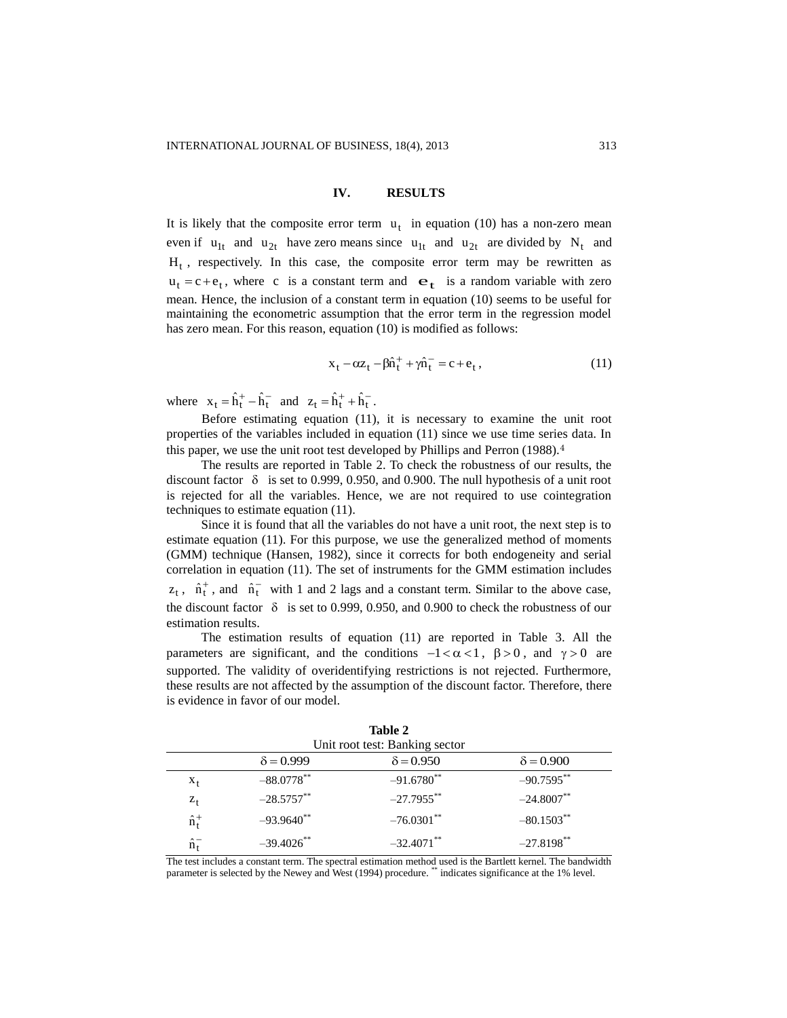#### **IV. RESULTS**

It is likely that the composite error term  $u_t$  in equation (10) has a non-zero mean even if  $u_{1t}$  and  $u_{2t}$  have zero means since  $u_{1t}$  and  $u_{2t}$  are divided by  $N_t$  and  $H_t$ , respectively. In this case, the composite error term may be rewritten as  $u_t = c + e_t$ , where c is a constant term and  $e_t$  is a random variable with zero mean. Hence, the inclusion of a constant term in equation (10) seems to be useful for maintaining the econometric assumption that the error term in the regression model has zero mean. For this reason, equation (10) is modified as follows:

$$
x_t - \alpha z_t - \beta \hat{n}_t^+ + \gamma \hat{n}_t^- = c + e_t, \qquad (11)
$$

where  $x_t = \hat{h}_t^+ - \hat{h}_t^-$  and  $z_t = \hat{h}_t^+ + \hat{h}_t^-$ .

Before estimating equation (11), it is necessary to examine the unit root properties of the variables included in equation (11) since we use time series data. In this paper, we use the unit root test developed by Phillips and Perron (1988).<sup>4</sup>

The results are reported in Table 2. To check the robustness of our results, the discount factor  $\delta$  is set to 0.999, 0.950, and 0.900. The null hypothesis of a unit root is rejected for all the variables. Hence, we are not required to use cointegration techniques to estimate equation (11).

Since it is found that all the variables do not have a unit root, the next step is to estimate equation (11). For this purpose, we use the generalized method of moments (GMM) technique (Hansen, 1982), since it corrects for both endogeneity and serial correlation in equation (11). The set of instruments for the GMM estimation includes  $z_t$ ,  $\hat{n}_t^+$ , and  $\hat{n}_t^-$  with 1 and 2 lags and a constant term. Similar to the above case, the discount factor  $\delta$  is set to 0.999, 0.950, and 0.900 to check the robustness of our estimation results.

The estimation results of equation (11) are reported in Table 3. All the parameters are significant, and the conditions  $-1 < \alpha < 1$ ,  $\beta > 0$ , and  $\gamma > 0$  are supported. The validity of overidentifying restrictions is not rejected. Furthermore, these results are not affected by the assumption of the discount factor. Therefore, there is evidence in favor of our model.

| Unit root test: Banking sector |                          |                          |                          |  |  |  |
|--------------------------------|--------------------------|--------------------------|--------------------------|--|--|--|
|                                | $\delta = 0.999$         | $\delta = 0.950$         | $\delta = 0.900$         |  |  |  |
| $X_t$                          | $-88.0778$ **            | $-91.6780$ <sup>**</sup> | $-90.7595**$             |  |  |  |
| $Z_{t}$                        | $-28.5757***$            | $-27.7955$ **            | $-24.8007**$             |  |  |  |
| $\hat{n}_{t}^{+}$              | $-93.9640$ **            | $-76.0301$ **            | $-80.1503$ **            |  |  |  |
| $\hat{n}_{\tau}^-$             | $-39.4026$ <sup>**</sup> | $-32.4071$ <sup>**</sup> | $-27.8198$ <sup>**</sup> |  |  |  |

|  |  |  | Table 2         |  |  |  |  |
|--|--|--|-----------------|--|--|--|--|
|  |  |  | $\sim$ $\sim$ 1 |  |  |  |  |

The test includes a constant term. The spectral estimation method used is the Bartlett kernel. The bandwidth parameter is selected by the Newey and West (1994) procedure. \*\* indicates significance at the 1% level.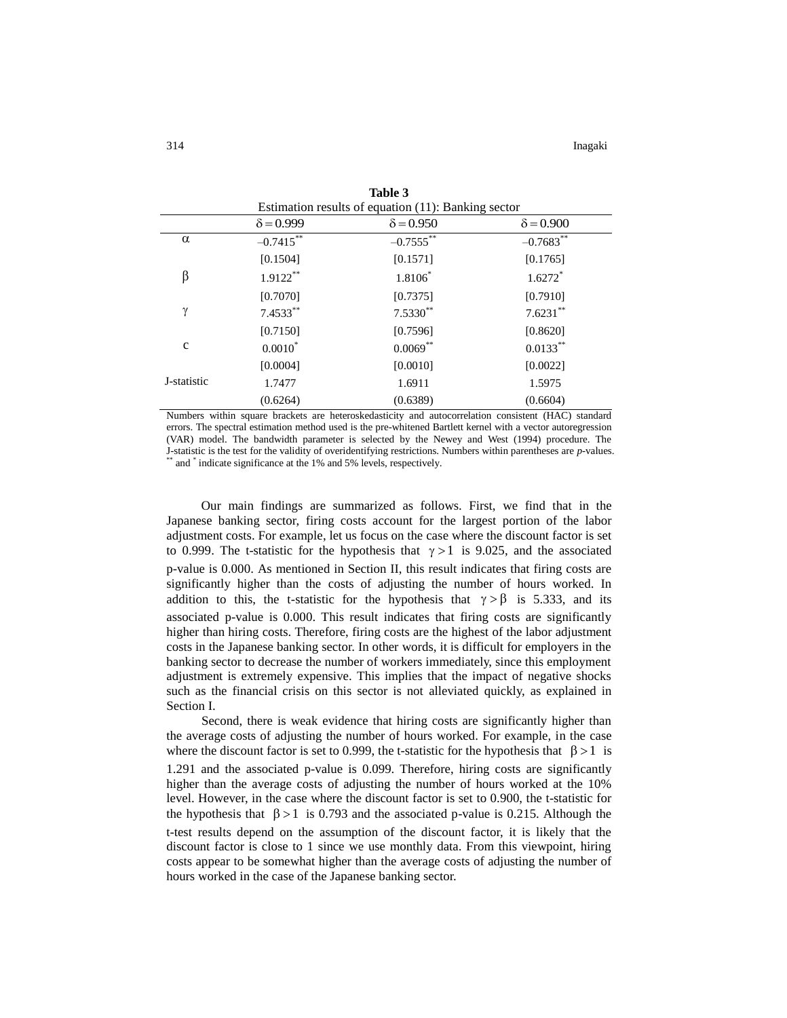| Estimation results of equation (11): Banking sector |                  |                  |                       |  |  |
|-----------------------------------------------------|------------------|------------------|-----------------------|--|--|
|                                                     | $\delta = 0.999$ | $\delta = 0.950$ | $\delta = 0.900$      |  |  |
| α                                                   | $-0.7415***$     | $-0.7555$ **     | $-0.7683**$           |  |  |
|                                                     | [0.1504]         | [0.1571]         | [0.1765]              |  |  |
| β                                                   | $1.9122**$       | $1.8106*$        | $1.6272$ <sup>*</sup> |  |  |
|                                                     | [0.7070]         | [0.7375]         | [0.7910]              |  |  |
| γ                                                   | $7.4533***$      | $7.5330**$       | $7.6231***$           |  |  |
|                                                     | [0.7150]         | [0.7596]         | [0.8620]              |  |  |
| $\mathbf c$                                         | $0.0010*$        | $0.0069**$       | $0.0133***$           |  |  |
|                                                     | [0.0004]         | [0.0010]         | [0.0022]              |  |  |
| J-statistic                                         | 1.7477           | 1.6911           | 1.5975                |  |  |
|                                                     | (0.6264)         | (0.6389)         | (0.6604)              |  |  |

**Table 3**

Numbers within square brackets are heteroskedasticity and autocorrelation consistent (HAC) standard errors. The spectral estimation method used is the pre-whitened Bartlett kernel with a vector autoregression (VAR) model. The bandwidth parameter is selected by the Newey and West (1994) procedure. The J-statistic is the test for the validity of overidentifying restrictions. Numbers within parentheses are *p*-values. \*\* and \* indicate significance at the 1% and 5% levels, respectively.

Our main findings are summarized as follows. First, we find that in the Japanese banking sector, firing costs account for the largest portion of the labor adjustment costs. For example, let us focus on the case where the discount factor is set to 0.999. The t-statistic for the hypothesis that  $\gamma > 1$  is 9.025, and the associated p-value is 0.000. As mentioned in Section II, this result indicates that firing costs are significantly higher than the costs of adjusting the number of hours worked. In addition to this, the t-statistic for the hypothesis that  $\gamma > \beta$  is 5.333, and its associated p-value is 0.000. This result indicates that firing costs are significantly higher than hiring costs. Therefore, firing costs are the highest of the labor adjustment costs in the Japanese banking sector. In other words, it is difficult for employers in the banking sector to decrease the number of workers immediately, since this employment adjustment is extremely expensive. This implies that the impact of negative shocks such as the financial crisis on this sector is not alleviated quickly, as explained in Section I.

Second, there is weak evidence that hiring costs are significantly higher than the average costs of adjusting the number of hours worked. For example, in the case where the discount factor is set to 0.999, the t-statistic for the hypothesis that  $\beta > 1$  is 1.291 and the associated p-value is 0.099. Therefore, hiring costs are significantly higher than the average costs of adjusting the number of hours worked at the 10% level. However, in the case where the discount factor is set to 0.900, the t-statistic for the hypothesis that  $\beta > 1$  is 0.793 and the associated p-value is 0.215. Although the t-test results depend on the assumption of the discount factor, it is likely that the discount factor is close to 1 since we use monthly data. From this viewpoint, hiring costs appear to be somewhat higher than the average costs of adjusting the number of hours worked in the case of the Japanese banking sector.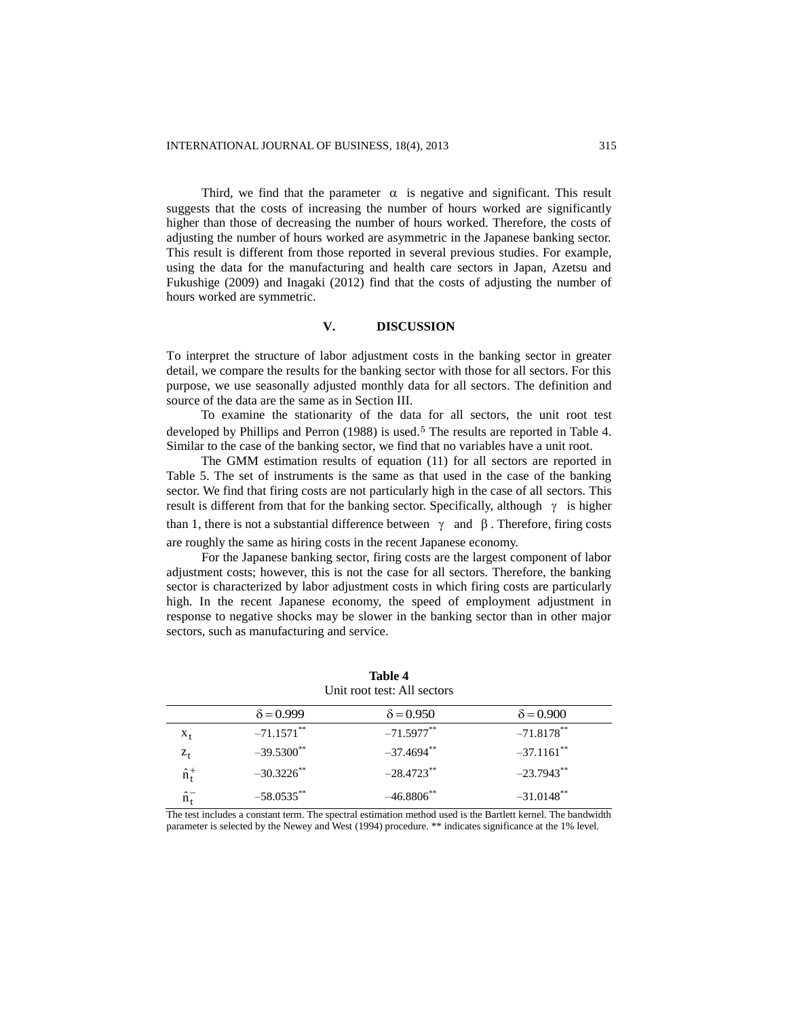Third, we find that the parameter  $\alpha$  is negative and significant. This result suggests that the costs of increasing the number of hours worked are significantly higher than those of decreasing the number of hours worked. Therefore, the costs of adjusting the number of hours worked are asymmetric in the Japanese banking sector. This result is different from those reported in several previous studies. For example, using the data for the manufacturing and health care sectors in Japan, Azetsu and Fukushige (2009) and Inagaki (2012) find that the costs of adjusting the number of hours worked are symmetric.

## **V. DISCUSSION**

To interpret the structure of labor adjustment costs in the banking sector in greater detail, we compare the results for the banking sector with those for all sectors. For this purpose, we use seasonally adjusted monthly data for all sectors. The definition and source of the data are the same as in Section III.

To examine the stationarity of the data for all sectors, the unit root test developed by Phillips and Perron (1988) is used.<sup>5</sup> The results are reported in Table 4. Similar to the case of the banking sector, we find that no variables have a unit root.

The GMM estimation results of equation (11) for all sectors are reported in Table 5. The set of instruments is the same as that used in the case of the banking sector. We find that firing costs are not particularly high in the case of all sectors. This result is different from that for the banking sector. Specifically, although  $\gamma$  is higher than 1, there is not a substantial difference between  $\gamma$  and  $\beta$ . Therefore, firing costs

are roughly the same as hiring costs in the recent Japanese economy.

For the Japanese banking sector, firing costs are the largest component of labor adjustment costs; however, this is not the case for all sectors. Therefore, the banking sector is characterized by labor adjustment costs in which firing costs are particularly high. In the recent Japanese economy, the speed of employment adjustment in response to negative shocks may be slower in the banking sector than in other major sectors, such as manufacturing and service.

|                   | $\delta = 0.999$         | $\delta = 0.950$ | $\delta = 0.900$         |  |  |  |
|-------------------|--------------------------|------------------|--------------------------|--|--|--|
| $X_t$             | $-71.1571$ **            | $-71.5977**$     | $-71.8178***$            |  |  |  |
| $Z_{\dagger}$     | $-39.5300$ <sup>**</sup> | $-37.4694$ **    | $-37.1161$ <sup>**</sup> |  |  |  |
| $\hat{n}_{t}^{+}$ | $-30.3226$ **            | $-28.4723$ **    | $-23.7943$ **            |  |  |  |
|                   | $-58.0535$ **            | $-46.8806$ **    | $-31.0148$ <sup>**</sup> |  |  |  |

**Table 4** Unit root test: All sectors

The test includes a constant term. The spectral estimation method used is the Bartlett kernel. The bandwidth parameter is selected by the Newey and West (1994) procedure. \*\* indicates significance at the 1% level.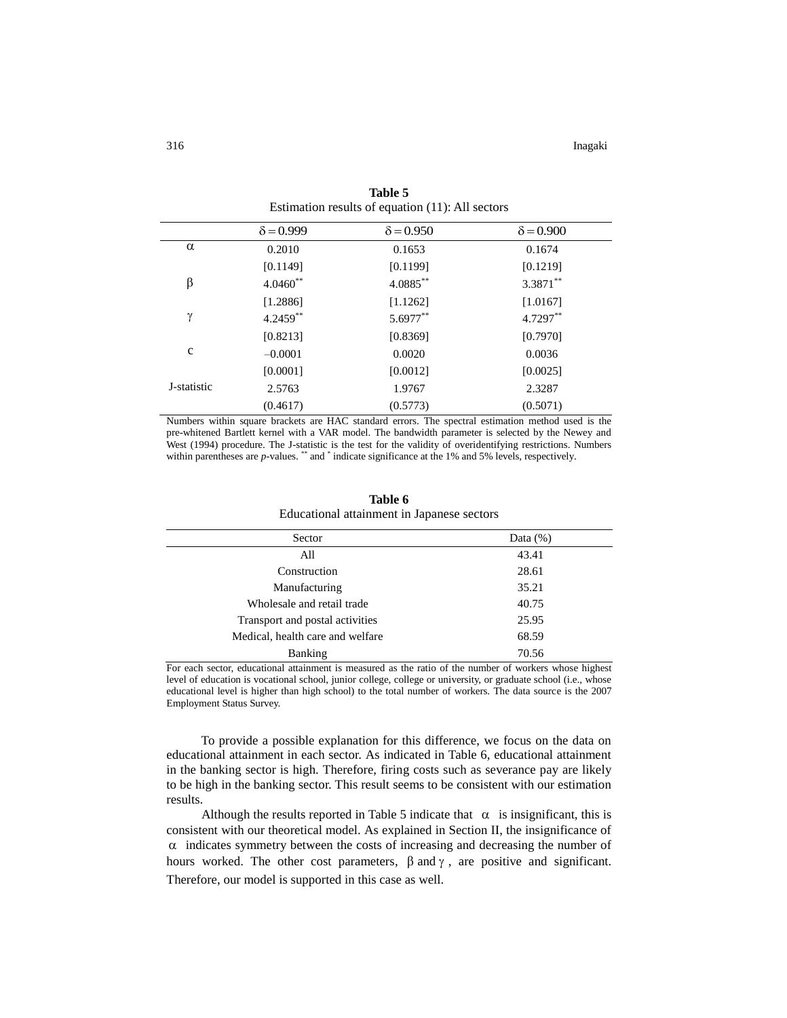|             | $\delta = 0.999$ | $\delta = 0.950$ | $\delta = 0.900$ |  |
|-------------|------------------|------------------|------------------|--|
| $\alpha$    | 0.2010           | 0.1653           | 0.1674           |  |
|             | [0.1149]         | [0.1199]         | [0.1219]         |  |
| β           | $4.0460**$       | 4.0885**         | $3.3871***$      |  |
|             | [1.2886]         | [1.1262]         | [1.0167]         |  |
| γ           | 4.2459**         | 5.6977**         | 4.7297**         |  |
|             | [0.8213]         | [0.8369]         | [0.7970]         |  |
| $\mathbf c$ | $-0.0001$        | 0.0020           | 0.0036           |  |
|             | [0.0001]         | [0.0012]         | [0.0025]         |  |
| J-statistic | 2.5763           | 1.9767           | 2.3287           |  |
|             | (0.4617)         | (0.5773)         | (0.5071)         |  |

**Table 5** Estimation results of equation (11): All sectors

Numbers within square brackets are HAC standard errors. The spectral estimation method used is the pre-whitened Bartlett kernel with a VAR model. The bandwidth parameter is selected by the Newey and West (1994) procedure. The J-statistic is the test for the validity of overidentifying restrictions. Numbers within parentheses are *p*-values. \*\* and \* indicate significance at the 1% and 5% levels, respectively.

| Table 6                                    |
|--------------------------------------------|
| Educational attainment in Japanese sectors |

| Sector                           | Data $(\%)$ |  |
|----------------------------------|-------------|--|
| All                              | 43.41       |  |
| Construction                     | 28.61       |  |
| Manufacturing                    | 35.21       |  |
| Wholesale and retail trade       | 40.75       |  |
| Transport and postal activities  | 25.95       |  |
| Medical, health care and welfare | 68.59       |  |
| Banking                          | 70.56       |  |
|                                  |             |  |

For each sector, educational attainment is measured as the ratio of the number of workers whose highest level of education is vocational school, junior college, college or university, or graduate school (i.e., whose educational level is higher than high school) to the total number of workers. The data source is the 2007 Employment Status Survey.

To provide a possible explanation for this difference, we focus on the data on educational attainment in each sector. As indicated in Table 6, educational attainment in the banking sector is high. Therefore, firing costs such as severance pay are likely to be high in the banking sector. This result seems to be consistent with our estimation results.

Although the results reported in Table 5 indicate that  $\alpha$  is insignificant, this is consistent with our theoretical model. As explained in Section II, the insignificance of  $\alpha$  indicates symmetry between the costs of increasing and decreasing the number of hours worked. The other cost parameters,  $\beta$  and  $\gamma$ , are positive and significant. Therefore, our model is supported in this case as well.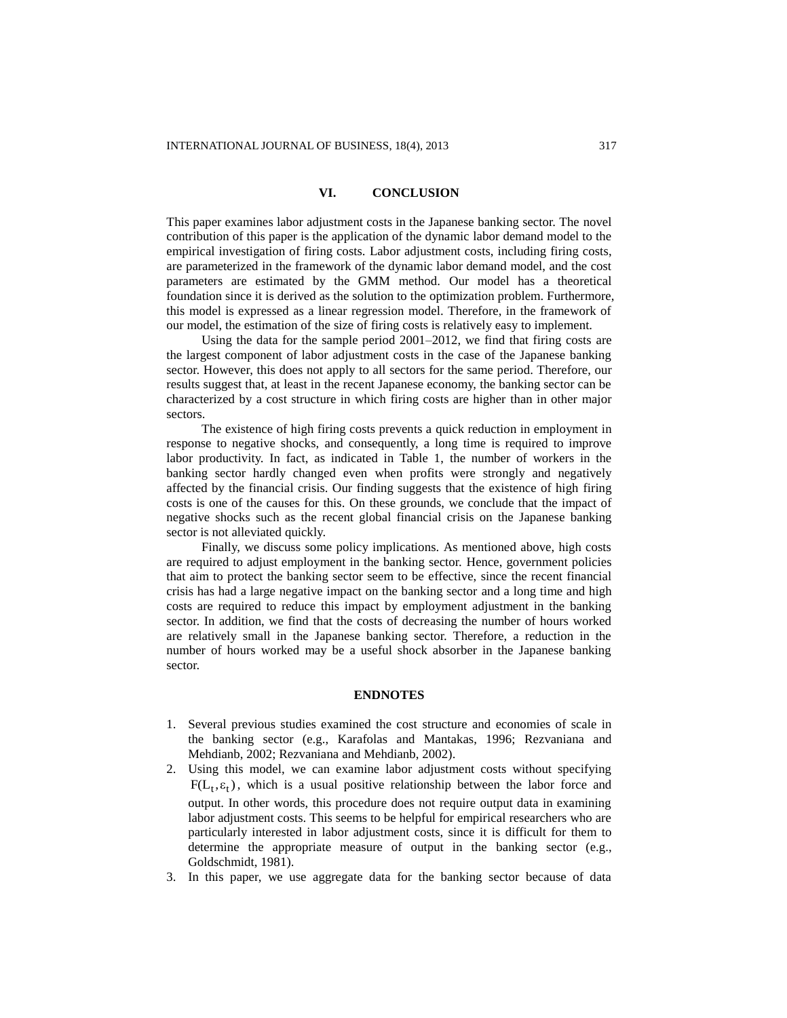## **VI. CONCLUSION**

This paper examines labor adjustment costs in the Japanese banking sector. The novel contribution of this paper is the application of the dynamic labor demand model to the empirical investigation of firing costs. Labor adjustment costs, including firing costs, are parameterized in the framework of the dynamic labor demand model, and the cost parameters are estimated by the GMM method. Our model has a theoretical foundation since it is derived as the solution to the optimization problem. Furthermore, this model is expressed as a linear regression model. Therefore, in the framework of our model, the estimation of the size of firing costs is relatively easy to implement.

Using the data for the sample period 2001–2012, we find that firing costs are the largest component of labor adjustment costs in the case of the Japanese banking sector. However, this does not apply to all sectors for the same period. Therefore, our results suggest that, at least in the recent Japanese economy, the banking sector can be characterized by a cost structure in which firing costs are higher than in other major sectors.

The existence of high firing costs prevents a quick reduction in employment in response to negative shocks, and consequently, a long time is required to improve labor productivity. In fact, as indicated in Table 1, the number of workers in the banking sector hardly changed even when profits were strongly and negatively affected by the financial crisis. Our finding suggests that the existence of high firing costs is one of the causes for this. On these grounds, we conclude that the impact of negative shocks such as the recent global financial crisis on the Japanese banking sector is not alleviated quickly.

Finally, we discuss some policy implications. As mentioned above, high costs are required to adjust employment in the banking sector. Hence, government policies that aim to protect the banking sector seem to be effective, since the recent financial crisis has had a large negative impact on the banking sector and a long time and high costs are required to reduce this impact by employment adjustment in the banking sector. In addition, we find that the costs of decreasing the number of hours worked are relatively small in the Japanese banking sector. Therefore, a reduction in the number of hours worked may be a useful shock absorber in the Japanese banking sector.

#### **ENDNOTES**

- 1. Several previous studies examined the cost structure and economies of scale in the banking sector (e.g., Karafolas and Mantakas, 1996; Rezvaniana and Mehdianb, 2002; Rezvaniana and Mehdianb, 2002).
- 2. Using this model, we can examine labor adjustment costs without specifying  $F(L_t, \varepsilon_t)$ , which is a usual positive relationship between the labor force and output. In other words, this procedure does not require output data in examining labor adjustment costs. This seems to be helpful for empirical researchers who are particularly interested in labor adjustment costs, since it is difficult for them to determine the appropriate measure of output in the banking sector (e.g., Goldschmidt, 1981).
- 3. In this paper, we use aggregate data for the banking sector because of data